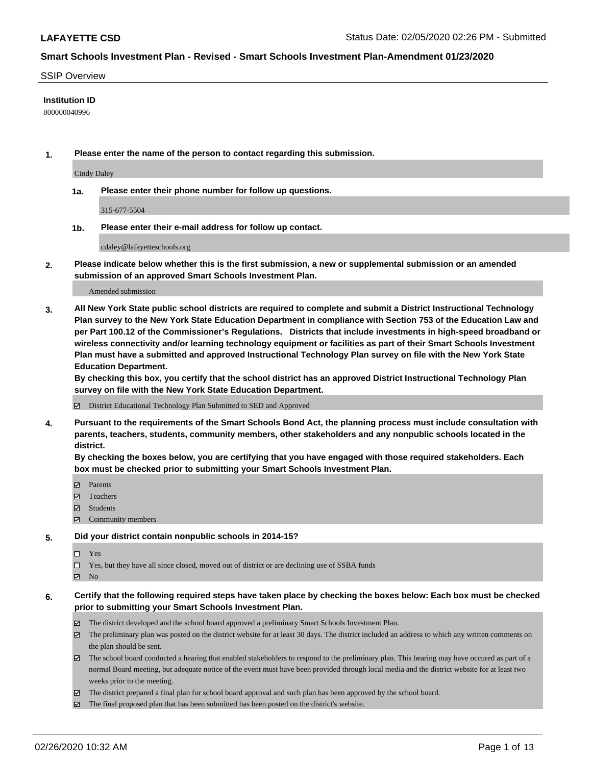#### SSIP Overview

#### **Institution ID**

800000040996

**1. Please enter the name of the person to contact regarding this submission.**

Cindy Daley

**1a. Please enter their phone number for follow up questions.**

315-677-5504

**1b. Please enter their e-mail address for follow up contact.**

cdaley@lafayetteschools.org

**2. Please indicate below whether this is the first submission, a new or supplemental submission or an amended submission of an approved Smart Schools Investment Plan.**

#### Amended submission

**3. All New York State public school districts are required to complete and submit a District Instructional Technology Plan survey to the New York State Education Department in compliance with Section 753 of the Education Law and per Part 100.12 of the Commissioner's Regulations. Districts that include investments in high-speed broadband or wireless connectivity and/or learning technology equipment or facilities as part of their Smart Schools Investment Plan must have a submitted and approved Instructional Technology Plan survey on file with the New York State Education Department.** 

**By checking this box, you certify that the school district has an approved District Instructional Technology Plan survey on file with the New York State Education Department.**

District Educational Technology Plan Submitted to SED and Approved

**4. Pursuant to the requirements of the Smart Schools Bond Act, the planning process must include consultation with parents, teachers, students, community members, other stakeholders and any nonpublic schools located in the district.** 

**By checking the boxes below, you are certifying that you have engaged with those required stakeholders. Each box must be checked prior to submitting your Smart Schools Investment Plan.**

- **マ** Parents
- Teachers
- Students
- $\Xi$  Community members

#### **5. Did your district contain nonpublic schools in 2014-15?**

 $\neg$  Yes

Yes, but they have all since closed, moved out of district or are declining use of SSBA funds

**Z** No

#### **6. Certify that the following required steps have taken place by checking the boxes below: Each box must be checked prior to submitting your Smart Schools Investment Plan.**

- The district developed and the school board approved a preliminary Smart Schools Investment Plan.
- $\boxtimes$  The preliminary plan was posted on the district website for at least 30 days. The district included an address to which any written comments on the plan should be sent.
- $\boxtimes$  The school board conducted a hearing that enabled stakeholders to respond to the preliminary plan. This hearing may have occured as part of a normal Board meeting, but adequate notice of the event must have been provided through local media and the district website for at least two weeks prior to the meeting.
- The district prepared a final plan for school board approval and such plan has been approved by the school board.
- $\boxtimes$  The final proposed plan that has been submitted has been posted on the district's website.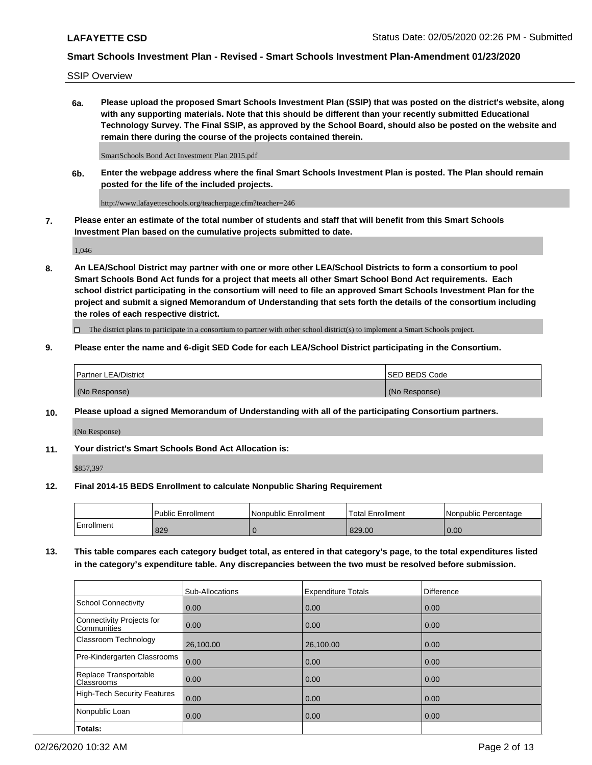SSIP Overview

**6a. Please upload the proposed Smart Schools Investment Plan (SSIP) that was posted on the district's website, along with any supporting materials. Note that this should be different than your recently submitted Educational Technology Survey. The Final SSIP, as approved by the School Board, should also be posted on the website and remain there during the course of the projects contained therein.**

SmartSchools Bond Act Investment Plan 2015.pdf

**6b. Enter the webpage address where the final Smart Schools Investment Plan is posted. The Plan should remain posted for the life of the included projects.**

http://www.lafayetteschools.org/teacherpage.cfm?teacher=246

**7. Please enter an estimate of the total number of students and staff that will benefit from this Smart Schools Investment Plan based on the cumulative projects submitted to date.**

1,046

**8. An LEA/School District may partner with one or more other LEA/School Districts to form a consortium to pool Smart Schools Bond Act funds for a project that meets all other Smart School Bond Act requirements. Each school district participating in the consortium will need to file an approved Smart Schools Investment Plan for the project and submit a signed Memorandum of Understanding that sets forth the details of the consortium including the roles of each respective district.**

 $\Box$  The district plans to participate in a consortium to partner with other school district(s) to implement a Smart Schools project.

#### **9. Please enter the name and 6-digit SED Code for each LEA/School District participating in the Consortium.**

| Partner LEA/District | <b>ISED BEDS Code</b> |
|----------------------|-----------------------|
| (No Response)        | (No Response)         |

### **10. Please upload a signed Memorandum of Understanding with all of the participating Consortium partners.**

(No Response)

**11. Your district's Smart Schools Bond Act Allocation is:**

\$857,397

#### **12. Final 2014-15 BEDS Enrollment to calculate Nonpublic Sharing Requirement**

|            | Public Enrollment | Nonpublic Enrollment | Total Enrollment | INonpublic Percentage |
|------------|-------------------|----------------------|------------------|-----------------------|
| Enrollment | 829               |                      | 829.00           | 0.00                  |

**13. This table compares each category budget total, as entered in that category's page, to the total expenditures listed in the category's expenditure table. Any discrepancies between the two must be resolved before submission.**

|                                          | Sub-Allocations | <b>Expenditure Totals</b> | <b>Difference</b> |
|------------------------------------------|-----------------|---------------------------|-------------------|
| <b>School Connectivity</b>               | 0.00            | 0.00                      | 0.00              |
| Connectivity Projects for<br>Communities | 0.00            | 0.00                      | 0.00              |
| Classroom Technology                     | 26,100.00       | 26,100.00                 | 0.00              |
| Pre-Kindergarten Classrooms              | 0.00            | 0.00                      | 0.00              |
| Replace Transportable<br>Classrooms      | 0.00            | 0.00                      | 0.00              |
| <b>High-Tech Security Features</b>       | 0.00            | 0.00                      | 0.00              |
| Nonpublic Loan                           | 0.00            | 0.00                      | 0.00              |
| Totals:                                  |                 |                           |                   |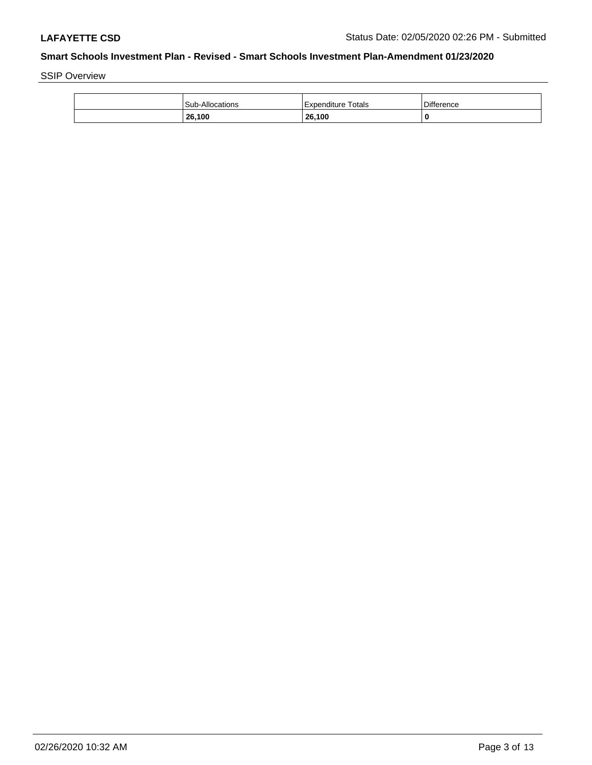SSIP Overview

| <b>Sub-Allocations</b> | Expenditure Totals | <b>Difference</b> |
|------------------------|--------------------|-------------------|
| 26,100                 | 26,100             | 0                 |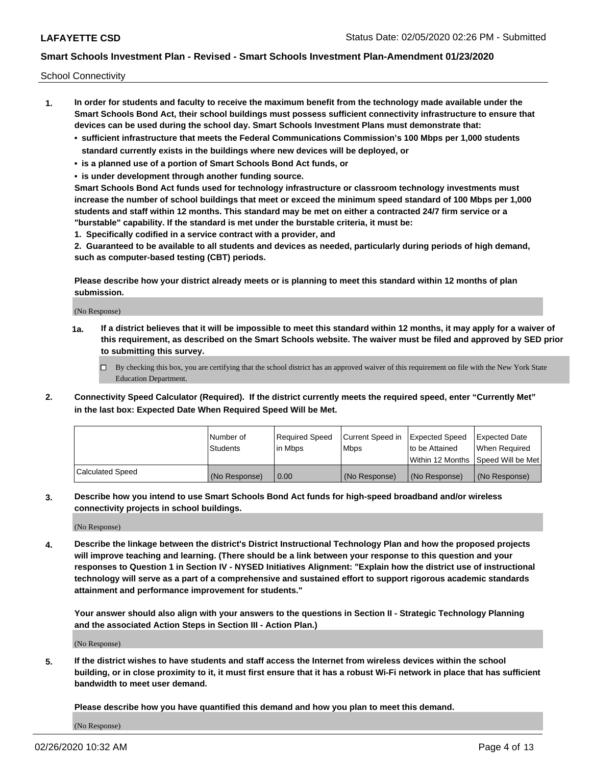School Connectivity

- **1. In order for students and faculty to receive the maximum benefit from the technology made available under the Smart Schools Bond Act, their school buildings must possess sufficient connectivity infrastructure to ensure that devices can be used during the school day. Smart Schools Investment Plans must demonstrate that:**
	- **• sufficient infrastructure that meets the Federal Communications Commission's 100 Mbps per 1,000 students standard currently exists in the buildings where new devices will be deployed, or**
	- **• is a planned use of a portion of Smart Schools Bond Act funds, or**
	- **• is under development through another funding source.**

**Smart Schools Bond Act funds used for technology infrastructure or classroom technology investments must increase the number of school buildings that meet or exceed the minimum speed standard of 100 Mbps per 1,000 students and staff within 12 months. This standard may be met on either a contracted 24/7 firm service or a "burstable" capability. If the standard is met under the burstable criteria, it must be:**

**1. Specifically codified in a service contract with a provider, and**

**2. Guaranteed to be available to all students and devices as needed, particularly during periods of high demand, such as computer-based testing (CBT) periods.**

**Please describe how your district already meets or is planning to meet this standard within 12 months of plan submission.**

(No Response)

**1a. If a district believes that it will be impossible to meet this standard within 12 months, it may apply for a waiver of this requirement, as described on the Smart Schools website. The waiver must be filed and approved by SED prior to submitting this survey.**

 $\Box$  By checking this box, you are certifying that the school district has an approved waiver of this requirement on file with the New York State Education Department.

**2. Connectivity Speed Calculator (Required). If the district currently meets the required speed, enter "Currently Met" in the last box: Expected Date When Required Speed Will be Met.**

|                  | l Number of     | Required Speed | Current Speed in | Expected Speed | Expected Date                        |
|------------------|-----------------|----------------|------------------|----------------|--------------------------------------|
|                  | <b>Students</b> | In Mbps        | <b>Mbps</b>      | to be Attained | When Required                        |
|                  |                 |                |                  |                | Within 12 Months 1Speed Will be Met1 |
| Calculated Speed | (No Response)   | 0.00           | (No Response)    | (No Response)  | l (No Response)                      |

**3. Describe how you intend to use Smart Schools Bond Act funds for high-speed broadband and/or wireless connectivity projects in school buildings.**

(No Response)

**4. Describe the linkage between the district's District Instructional Technology Plan and how the proposed projects will improve teaching and learning. (There should be a link between your response to this question and your responses to Question 1 in Section IV - NYSED Initiatives Alignment: "Explain how the district use of instructional technology will serve as a part of a comprehensive and sustained effort to support rigorous academic standards attainment and performance improvement for students."** 

**Your answer should also align with your answers to the questions in Section II - Strategic Technology Planning and the associated Action Steps in Section III - Action Plan.)**

(No Response)

**5. If the district wishes to have students and staff access the Internet from wireless devices within the school building, or in close proximity to it, it must first ensure that it has a robust Wi-Fi network in place that has sufficient bandwidth to meet user demand.**

**Please describe how you have quantified this demand and how you plan to meet this demand.**

(No Response)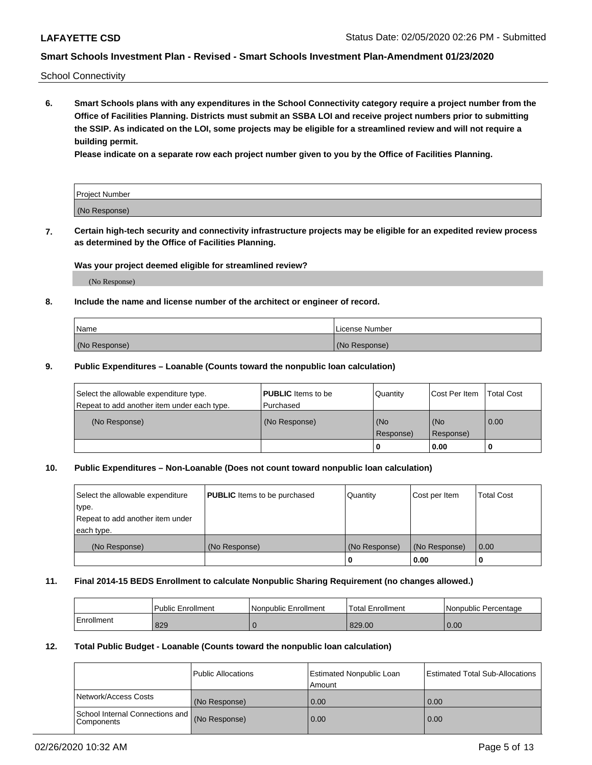School Connectivity

**6. Smart Schools plans with any expenditures in the School Connectivity category require a project number from the Office of Facilities Planning. Districts must submit an SSBA LOI and receive project numbers prior to submitting the SSIP. As indicated on the LOI, some projects may be eligible for a streamlined review and will not require a building permit.**

**Please indicate on a separate row each project number given to you by the Office of Facilities Planning.**

| Project Number |  |
|----------------|--|
| (No Response)  |  |

**7. Certain high-tech security and connectivity infrastructure projects may be eligible for an expedited review process as determined by the Office of Facilities Planning.**

#### **Was your project deemed eligible for streamlined review?**

(No Response)

## **8. Include the name and license number of the architect or engineer of record.**

| Name          | License Number |
|---------------|----------------|
| (No Response) | (No Response)  |

#### **9. Public Expenditures – Loanable (Counts toward the nonpublic loan calculation)**

| Select the allowable expenditure type.<br>Repeat to add another item under each type. | <b>PUBLIC</b> Items to be<br>l Purchased | Quantity           | Cost Per Item    | <b>Total Cost</b> |
|---------------------------------------------------------------------------------------|------------------------------------------|--------------------|------------------|-------------------|
| (No Response)                                                                         | (No Response)                            | l (No<br>Response) | (No<br>Response) | $\overline{0.00}$ |
|                                                                                       |                                          | O                  | 0.00             |                   |

# **10. Public Expenditures – Non-Loanable (Does not count toward nonpublic loan calculation)**

| Select the allowable expenditure<br>type.<br>Repeat to add another item under<br>each type. | <b>PUBLIC</b> Items to be purchased | Quantity      | Cost per Item | <b>Total Cost</b> |
|---------------------------------------------------------------------------------------------|-------------------------------------|---------------|---------------|-------------------|
| (No Response)                                                                               | (No Response)                       | (No Response) | (No Response) | 0.00              |
|                                                                                             |                                     |               | 0.00          |                   |

#### **11. Final 2014-15 BEDS Enrollment to calculate Nonpublic Sharing Requirement (no changes allowed.)**

|            | l Public Enrollment | Nonpublic Enrollment | Total Enrollment | l Nonpublic Percentage |
|------------|---------------------|----------------------|------------------|------------------------|
| Enrollment | 829                 |                      | 829.00           | 0.00                   |

#### **12. Total Public Budget - Loanable (Counts toward the nonpublic loan calculation)**

|                                                      | Public Allocations | <b>Estimated Nonpublic Loan</b><br>Amount | Estimated Total Sub-Allocations |
|------------------------------------------------------|--------------------|-------------------------------------------|---------------------------------|
| Network/Access Costs                                 | (No Response)      | 0.00                                      | 0.00                            |
| School Internal Connections and<br><b>Components</b> | (No Response)      | 0.00                                      | 0.00                            |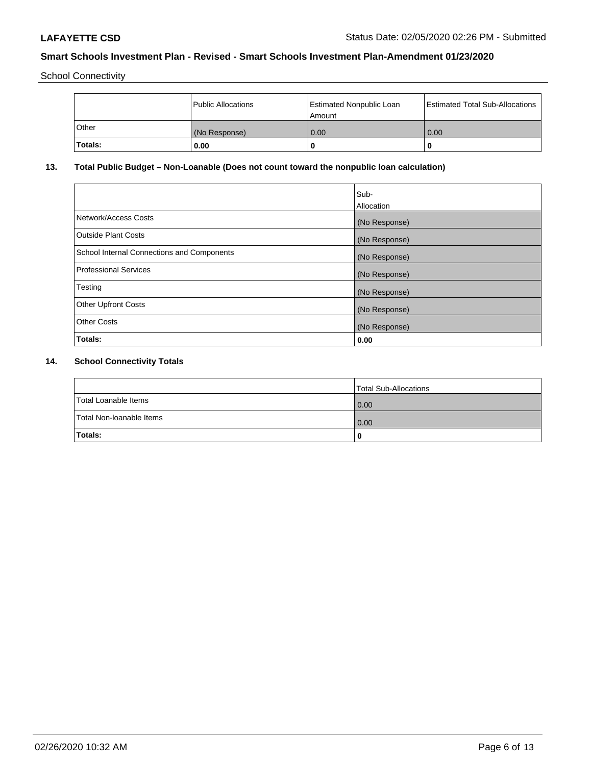School Connectivity

|              | <b>Public Allocations</b> | <b>Estimated Nonpublic Loan</b><br>l Amount | <b>Estimated Total Sub-Allocations</b> |
|--------------|---------------------------|---------------------------------------------|----------------------------------------|
| <b>Other</b> | (No Response)             | 0.00                                        | 0.00                                   |
| 'Totals:     | 0.00                      | 0                                           |                                        |

# **13. Total Public Budget – Non-Loanable (Does not count toward the nonpublic loan calculation)**

| Sub-<br>Allocation |
|--------------------|
| (No Response)      |
| (No Response)      |
| (No Response)      |
| (No Response)      |
| (No Response)      |
| (No Response)      |
| (No Response)      |
| 0.00               |
|                    |

# **14. School Connectivity Totals**

|                          | Total Sub-Allocations |
|--------------------------|-----------------------|
| Total Loanable Items     | 0.00                  |
| Total Non-Ioanable Items | 0.00                  |
| Totals:                  | 0                     |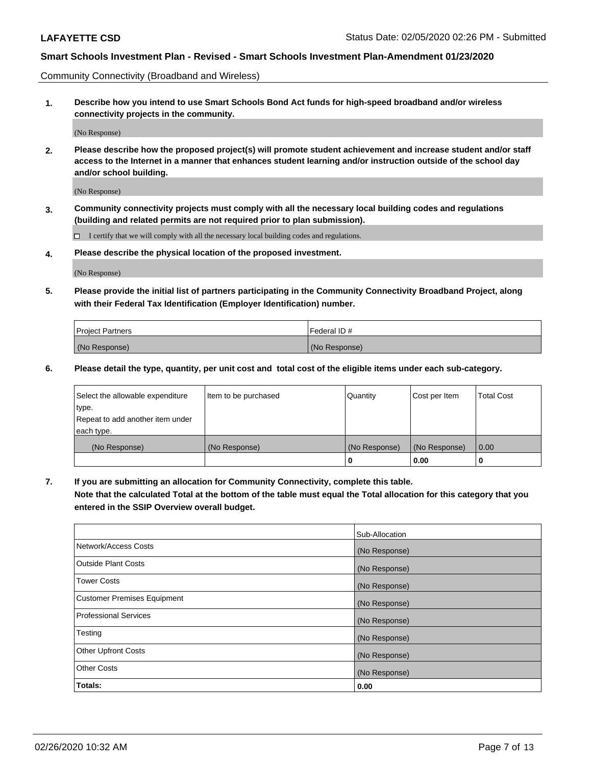Community Connectivity (Broadband and Wireless)

**1. Describe how you intend to use Smart Schools Bond Act funds for high-speed broadband and/or wireless connectivity projects in the community.**

(No Response)

**2. Please describe how the proposed project(s) will promote student achievement and increase student and/or staff access to the Internet in a manner that enhances student learning and/or instruction outside of the school day and/or school building.**

(No Response)

**3. Community connectivity projects must comply with all the necessary local building codes and regulations (building and related permits are not required prior to plan submission).**

 $\Box$  I certify that we will comply with all the necessary local building codes and regulations.

**4. Please describe the physical location of the proposed investment.**

(No Response)

**5. Please provide the initial list of partners participating in the Community Connectivity Broadband Project, along with their Federal Tax Identification (Employer Identification) number.**

| <b>Project Partners</b> | l Federal ID # |
|-------------------------|----------------|
| (No Response)           | (No Response)  |

**6. Please detail the type, quantity, per unit cost and total cost of the eligible items under each sub-category.**

| Select the allowable expenditure | Item to be purchased | Quantity      | Cost per Item | <b>Total Cost</b> |
|----------------------------------|----------------------|---------------|---------------|-------------------|
| type.                            |                      |               |               |                   |
| Repeat to add another item under |                      |               |               |                   |
| each type.                       |                      |               |               |                   |
| (No Response)                    | (No Response)        | (No Response) | (No Response) | 0.00              |
|                                  |                      | U             | 0.00          |                   |

**7. If you are submitting an allocation for Community Connectivity, complete this table.**

**Note that the calculated Total at the bottom of the table must equal the Total allocation for this category that you entered in the SSIP Overview overall budget.**

|                                    | Sub-Allocation |
|------------------------------------|----------------|
| Network/Access Costs               | (No Response)  |
| <b>Outside Plant Costs</b>         | (No Response)  |
| <b>Tower Costs</b>                 | (No Response)  |
| <b>Customer Premises Equipment</b> | (No Response)  |
| <b>Professional Services</b>       | (No Response)  |
| Testing                            | (No Response)  |
| <b>Other Upfront Costs</b>         | (No Response)  |
| <b>Other Costs</b>                 | (No Response)  |
| Totals:                            | 0.00           |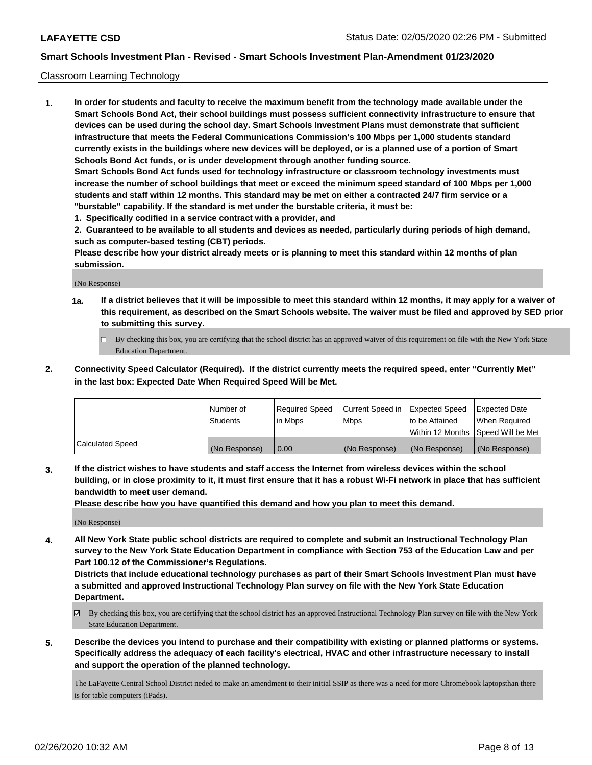#### Classroom Learning Technology

**1. In order for students and faculty to receive the maximum benefit from the technology made available under the Smart Schools Bond Act, their school buildings must possess sufficient connectivity infrastructure to ensure that devices can be used during the school day. Smart Schools Investment Plans must demonstrate that sufficient infrastructure that meets the Federal Communications Commission's 100 Mbps per 1,000 students standard currently exists in the buildings where new devices will be deployed, or is a planned use of a portion of Smart Schools Bond Act funds, or is under development through another funding source. Smart Schools Bond Act funds used for technology infrastructure or classroom technology investments must increase the number of school buildings that meet or exceed the minimum speed standard of 100 Mbps per 1,000 students and staff within 12 months. This standard may be met on either a contracted 24/7 firm service or a "burstable" capability. If the standard is met under the burstable criteria, it must be:**

**1. Specifically codified in a service contract with a provider, and**

**2. Guaranteed to be available to all students and devices as needed, particularly during periods of high demand, such as computer-based testing (CBT) periods.**

**Please describe how your district already meets or is planning to meet this standard within 12 months of plan submission.**

(No Response)

- **1a. If a district believes that it will be impossible to meet this standard within 12 months, it may apply for a waiver of this requirement, as described on the Smart Schools website. The waiver must be filed and approved by SED prior to submitting this survey.**
	- By checking this box, you are certifying that the school district has an approved waiver of this requirement on file with the New York State Education Department.
- **2. Connectivity Speed Calculator (Required). If the district currently meets the required speed, enter "Currently Met" in the last box: Expected Date When Required Speed Will be Met.**

|                  | l Number of     | Required Speed | Current Speed in | <b>Expected Speed</b> | <b>Expected Date</b>                |
|------------------|-----------------|----------------|------------------|-----------------------|-------------------------------------|
|                  | <b>Students</b> | l in Mbps      | l Mbps           | to be Attained        | When Required                       |
|                  |                 |                |                  |                       | Within 12 Months  Speed Will be Met |
| Calculated Speed | (No Response)   | 0.00           | (No Response)    | l (No Response)       | (No Response)                       |

**3. If the district wishes to have students and staff access the Internet from wireless devices within the school building, or in close proximity to it, it must first ensure that it has a robust Wi-Fi network in place that has sufficient bandwidth to meet user demand.**

**Please describe how you have quantified this demand and how you plan to meet this demand.**

(No Response)

**4. All New York State public school districts are required to complete and submit an Instructional Technology Plan survey to the New York State Education Department in compliance with Section 753 of the Education Law and per Part 100.12 of the Commissioner's Regulations.**

**Districts that include educational technology purchases as part of their Smart Schools Investment Plan must have a submitted and approved Instructional Technology Plan survey on file with the New York State Education Department.**

- By checking this box, you are certifying that the school district has an approved Instructional Technology Plan survey on file with the New York State Education Department.
- **5. Describe the devices you intend to purchase and their compatibility with existing or planned platforms or systems. Specifically address the adequacy of each facility's electrical, HVAC and other infrastructure necessary to install and support the operation of the planned technology.**

The LaFayette Central School District neded to make an amendment to their initial SSIP as there was a need for more Chromebook laptopsthan there is for table computers (iPads).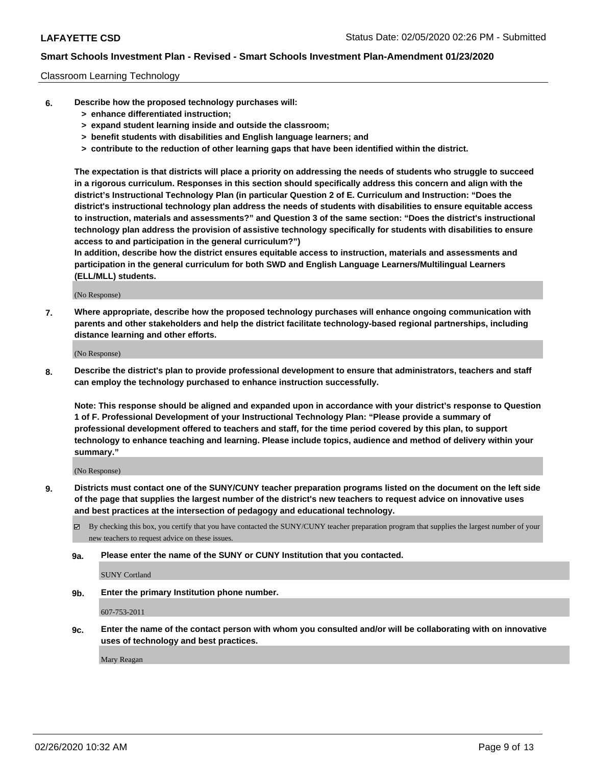#### Classroom Learning Technology

- **6. Describe how the proposed technology purchases will:**
	- **> enhance differentiated instruction;**
	- **> expand student learning inside and outside the classroom;**
	- **> benefit students with disabilities and English language learners; and**
	- **> contribute to the reduction of other learning gaps that have been identified within the district.**

**The expectation is that districts will place a priority on addressing the needs of students who struggle to succeed in a rigorous curriculum. Responses in this section should specifically address this concern and align with the district's Instructional Technology Plan (in particular Question 2 of E. Curriculum and Instruction: "Does the district's instructional technology plan address the needs of students with disabilities to ensure equitable access to instruction, materials and assessments?" and Question 3 of the same section: "Does the district's instructional technology plan address the provision of assistive technology specifically for students with disabilities to ensure access to and participation in the general curriculum?")**

**In addition, describe how the district ensures equitable access to instruction, materials and assessments and participation in the general curriculum for both SWD and English Language Learners/Multilingual Learners (ELL/MLL) students.**

(No Response)

**7. Where appropriate, describe how the proposed technology purchases will enhance ongoing communication with parents and other stakeholders and help the district facilitate technology-based regional partnerships, including distance learning and other efforts.**

(No Response)

**8. Describe the district's plan to provide professional development to ensure that administrators, teachers and staff can employ the technology purchased to enhance instruction successfully.**

**Note: This response should be aligned and expanded upon in accordance with your district's response to Question 1 of F. Professional Development of your Instructional Technology Plan: "Please provide a summary of professional development offered to teachers and staff, for the time period covered by this plan, to support technology to enhance teaching and learning. Please include topics, audience and method of delivery within your summary."**

(No Response)

- **9. Districts must contact one of the SUNY/CUNY teacher preparation programs listed on the document on the left side of the page that supplies the largest number of the district's new teachers to request advice on innovative uses and best practices at the intersection of pedagogy and educational technology.**
	- By checking this box, you certify that you have contacted the SUNY/CUNY teacher preparation program that supplies the largest number of your new teachers to request advice on these issues.
	- **9a. Please enter the name of the SUNY or CUNY Institution that you contacted.**

SUNY Cortland

**9b. Enter the primary Institution phone number.**

607-753-2011

**9c. Enter the name of the contact person with whom you consulted and/or will be collaborating with on innovative uses of technology and best practices.**

Mary Reagan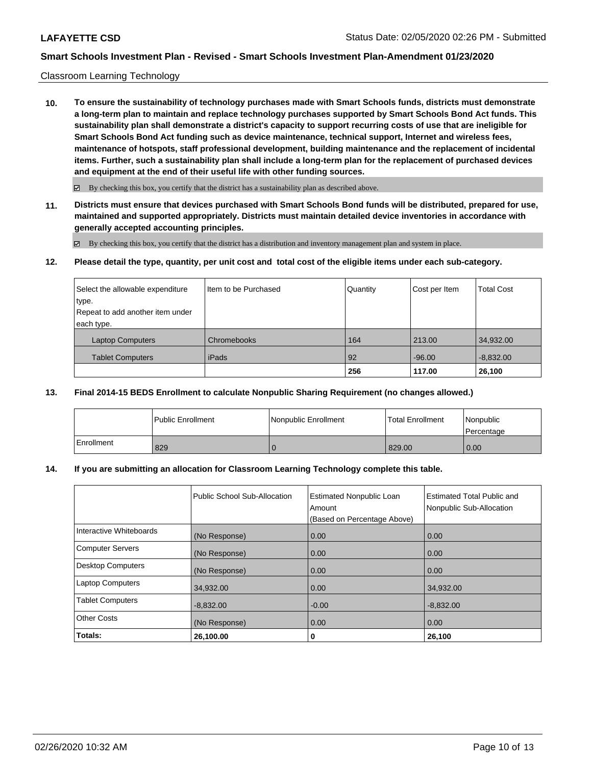#### Classroom Learning Technology

**10. To ensure the sustainability of technology purchases made with Smart Schools funds, districts must demonstrate a long-term plan to maintain and replace technology purchases supported by Smart Schools Bond Act funds. This sustainability plan shall demonstrate a district's capacity to support recurring costs of use that are ineligible for Smart Schools Bond Act funding such as device maintenance, technical support, Internet and wireless fees, maintenance of hotspots, staff professional development, building maintenance and the replacement of incidental items. Further, such a sustainability plan shall include a long-term plan for the replacement of purchased devices and equipment at the end of their useful life with other funding sources.**

 $\boxtimes$  By checking this box, you certify that the district has a sustainability plan as described above.

**11. Districts must ensure that devices purchased with Smart Schools Bond funds will be distributed, prepared for use, maintained and supported appropriately. Districts must maintain detailed device inventories in accordance with generally accepted accounting principles.**

By checking this box, you certify that the district has a distribution and inventory management plan and system in place.

**12. Please detail the type, quantity, per unit cost and total cost of the eligible items under each sub-category.**

| Select the allowable expenditure | Iltem to be Purchased | Quantity | Cost per Item | <b>Total Cost</b> |
|----------------------------------|-----------------------|----------|---------------|-------------------|
| type.                            |                       |          |               |                   |
| Repeat to add another item under |                       |          |               |                   |
| each type.                       |                       |          |               |                   |
| <b>Laptop Computers</b>          | Chromebooks           | 164      | 213.00        | 34,932.00         |
| <b>Tablet Computers</b>          | iPads                 | 92       | $-96.00$      | $-8,832.00$       |
|                                  |                       | 256      | 117.00        | 26,100            |

### **13. Final 2014-15 BEDS Enrollment to calculate Nonpublic Sharing Requirement (no changes allowed.)**

|            | l Public Enrollment | Nonpublic Enrollment | Total Enrollment | l Nonpublic<br>Percentage |
|------------|---------------------|----------------------|------------------|---------------------------|
| Enrollment | 829                 |                      | 829.00           | 0.00                      |

#### **14. If you are submitting an allocation for Classroom Learning Technology complete this table.**

|                          | Public School Sub-Allocation | <b>Estimated Nonpublic Loan</b><br>Amount<br>(Based on Percentage Above) | <b>Estimated Total Public and</b><br>Nonpublic Sub-Allocation |
|--------------------------|------------------------------|--------------------------------------------------------------------------|---------------------------------------------------------------|
| Interactive Whiteboards  | (No Response)                | 0.00                                                                     | 0.00                                                          |
| <b>Computer Servers</b>  | (No Response)                | 0.00                                                                     | 0.00                                                          |
| <b>Desktop Computers</b> | (No Response)                | 0.00                                                                     | 0.00                                                          |
| <b>Laptop Computers</b>  | 34,932.00                    | 0.00                                                                     | 34,932.00                                                     |
| <b>Tablet Computers</b>  | $-8,832.00$                  | $-0.00$                                                                  | $-8,832.00$                                                   |
| Other Costs              | (No Response)                | 0.00                                                                     | 0.00                                                          |
| Totals:                  | 26,100.00                    | 0                                                                        | 26,100                                                        |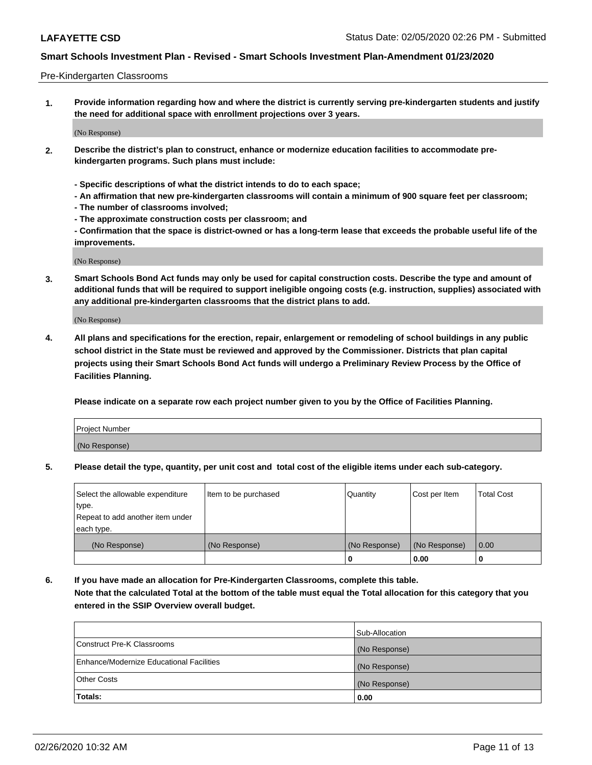#### Pre-Kindergarten Classrooms

**1. Provide information regarding how and where the district is currently serving pre-kindergarten students and justify the need for additional space with enrollment projections over 3 years.**

(No Response)

- **2. Describe the district's plan to construct, enhance or modernize education facilities to accommodate prekindergarten programs. Such plans must include:**
	- **Specific descriptions of what the district intends to do to each space;**
	- **An affirmation that new pre-kindergarten classrooms will contain a minimum of 900 square feet per classroom;**
	- **The number of classrooms involved;**
	- **The approximate construction costs per classroom; and**
	- **Confirmation that the space is district-owned or has a long-term lease that exceeds the probable useful life of the improvements.**

(No Response)

**3. Smart Schools Bond Act funds may only be used for capital construction costs. Describe the type and amount of additional funds that will be required to support ineligible ongoing costs (e.g. instruction, supplies) associated with any additional pre-kindergarten classrooms that the district plans to add.**

(No Response)

**4. All plans and specifications for the erection, repair, enlargement or remodeling of school buildings in any public school district in the State must be reviewed and approved by the Commissioner. Districts that plan capital projects using their Smart Schools Bond Act funds will undergo a Preliminary Review Process by the Office of Facilities Planning.**

**Please indicate on a separate row each project number given to you by the Office of Facilities Planning.**

| Project Number |  |
|----------------|--|
| (No Response)  |  |
|                |  |

**5. Please detail the type, quantity, per unit cost and total cost of the eligible items under each sub-category.**

| Select the allowable expenditure | Item to be purchased | Quantity      | Cost per Item | <b>Total Cost</b> |
|----------------------------------|----------------------|---------------|---------------|-------------------|
| type.                            |                      |               |               |                   |
| Repeat to add another item under |                      |               |               |                   |
| each type.                       |                      |               |               |                   |
| (No Response)                    | (No Response)        | (No Response) | (No Response) | 0.00              |
|                                  |                      | U             | 0.00          |                   |

**6. If you have made an allocation for Pre-Kindergarten Classrooms, complete this table. Note that the calculated Total at the bottom of the table must equal the Total allocation for this category that you entered in the SSIP Overview overall budget.**

|                                          | Sub-Allocation |
|------------------------------------------|----------------|
| Construct Pre-K Classrooms               | (No Response)  |
| Enhance/Modernize Educational Facilities | (No Response)  |
| <b>Other Costs</b>                       | (No Response)  |
| Totals:                                  | 0.00           |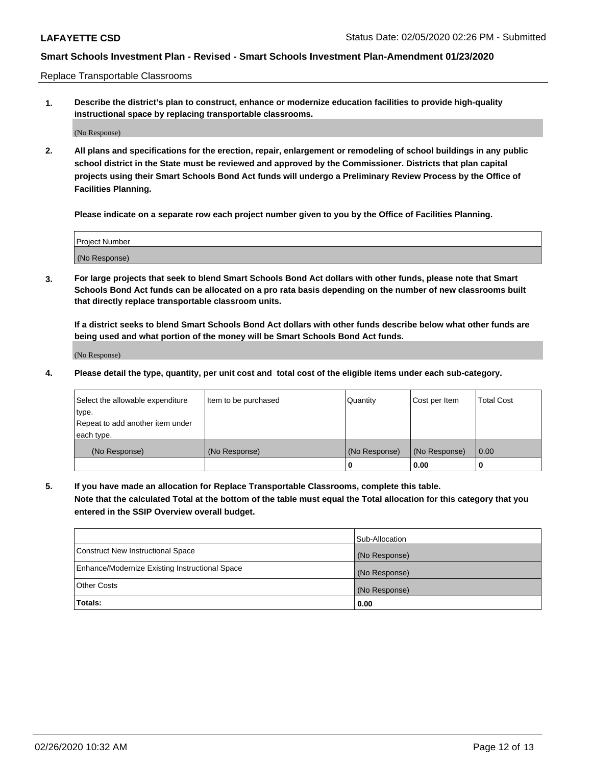Replace Transportable Classrooms

**1. Describe the district's plan to construct, enhance or modernize education facilities to provide high-quality instructional space by replacing transportable classrooms.**

(No Response)

**2. All plans and specifications for the erection, repair, enlargement or remodeling of school buildings in any public school district in the State must be reviewed and approved by the Commissioner. Districts that plan capital projects using their Smart Schools Bond Act funds will undergo a Preliminary Review Process by the Office of Facilities Planning.**

**Please indicate on a separate row each project number given to you by the Office of Facilities Planning.**

| Project Number |  |
|----------------|--|
|                |  |
|                |  |
|                |  |
| (No Response)  |  |
|                |  |
|                |  |

**3. For large projects that seek to blend Smart Schools Bond Act dollars with other funds, please note that Smart Schools Bond Act funds can be allocated on a pro rata basis depending on the number of new classrooms built that directly replace transportable classroom units.**

**If a district seeks to blend Smart Schools Bond Act dollars with other funds describe below what other funds are being used and what portion of the money will be Smart Schools Bond Act funds.**

(No Response)

**4. Please detail the type, quantity, per unit cost and total cost of the eligible items under each sub-category.**

| Select the allowable expenditure | Item to be purchased | Quantity      | Cost per Item | Total Cost |
|----------------------------------|----------------------|---------------|---------------|------------|
| ∣type.                           |                      |               |               |            |
| Repeat to add another item under |                      |               |               |            |
| each type.                       |                      |               |               |            |
| (No Response)                    | (No Response)        | (No Response) | (No Response) | 0.00       |
|                                  |                      | u             | 0.00          |            |

**5. If you have made an allocation for Replace Transportable Classrooms, complete this table. Note that the calculated Total at the bottom of the table must equal the Total allocation for this category that you entered in the SSIP Overview overall budget.**

|                                                | Sub-Allocation |
|------------------------------------------------|----------------|
| Construct New Instructional Space              | (No Response)  |
| Enhance/Modernize Existing Instructional Space | (No Response)  |
| <b>Other Costs</b>                             | (No Response)  |
| Totals:                                        | 0.00           |